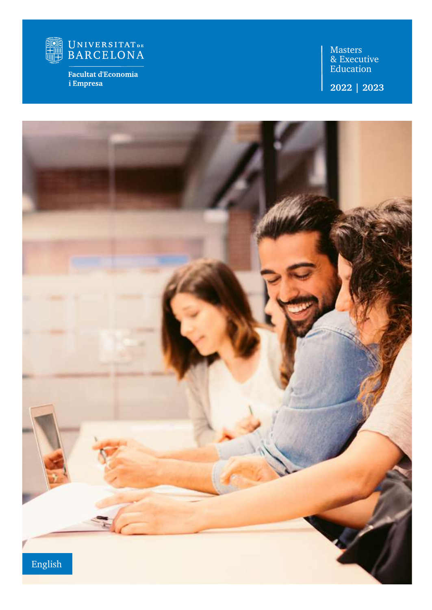

Facultat d'Economia<br>i Empresa

**Masters** & Executive Education

**2022 | 2023**

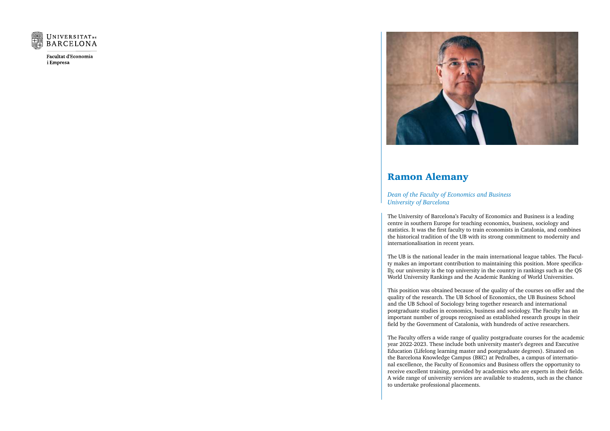

**Facultat d'Economia** i Empresa



# Ramon Alemany

*Dean of the Faculty of Economics and Business University of Barcelona*

The University of Barcelona's Faculty of Economics and Business is a leading centre in southern Europe for teaching economics, business, sociology and statistics. It was the first faculty to train economists in Catalonia, and combines the historical tradition of the UB with its strong commitment to modernity and internationalisation in recent years.

The UB is the national leader in the main international league tables. The Faculty makes an important contribution to maintaining this position. More specifically, our university is the top university in the country in rankings such as the QS World University Rankings and the Academic Ranking of World Universities.

This position was obtained because of the quality of the courses on offer and the quality of the research. The UB School of Economics, the UB Business School and the UB School of Sociology bring together research and international postgraduate studies in economics, business and sociology. The Faculty has an important number of groups recognised as established research groups in their field by the Government of Catalonia, with hundreds of active researchers.

The Faculty offers a wide range of quality postgraduate courses for the academic year 2022-2023. These include both university master's degrees and Executive Education (Lifelong learning master and postgraduate degrees). Situated on the Barcelona Knowledge Campus (BKC) at Pedralbes, a campus of international excellence, the Faculty of Economics and Business offers the opportunity to receive excellent training, provided by academics who are experts in their fields. A wide range of university services are available to students, such as the chance to undertake professional placements.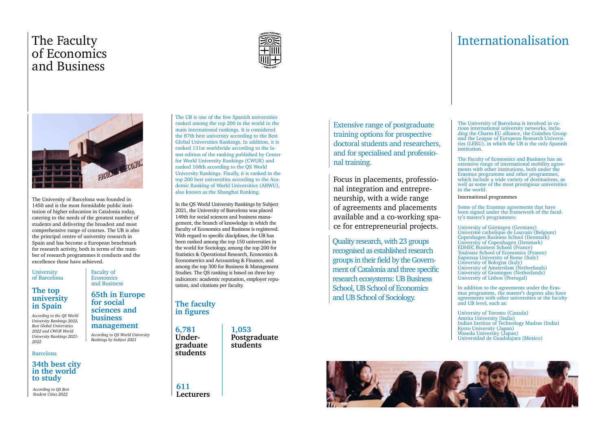# The Faculty of Economics and Business



# Internationalisation



The University of Barcelona was founded in 1450 and is the most formidable public institution of higher education in Catalonia today, catering to the needs of the greatest number of students and delivering the broadest and most comprehensive range of courses. The UB is also the principal centre of university research in Spain and has become a European benchmark for research activity, both in terms of the number of research programmes it conducts and the excellence these have achieved.

> Faculty of **Economics** and Business

**for social sciences and business** 

*According to QS World University Rankings by Subject 2021*

**management 6,781**

**65th in Europe** 

## **University** of Barcelona

# **The top university**

*According to the QS World University Rankings 2022, Best Global Universities 2022 and CWUR World University Rankings 2021- 2022*

## Barcelona

**34th best city in the world to study**

*According to QS Best Student Cities 2022*

The UB is one of the few Spanish universities ranked among the top 200 in the world in the main international rankings. It is considered the 87th best university according to the Best Global Universities Rankings. In addition, it is ranked 131st worldwide according to the latest edition of the ranking published by Center for World University Rankings (CWUR) and ranked 168th according to the QS World University Rankings. Finally, it is ranked in the top 200 best universities according to the Academic Ranking of World Universities (ARWU), also known as the Shanghai Ranking.

In the QS World University Rankings by Subject 2021, the University of Barcelona was placed 149th for social sciences and business management, the branch of knowledge in which the Faculty of Economics and Business is registered. With regard to specific disciplines, the UB has been ranked among the top 150 universities in the world for Sociology, among the top 200 for Statistics & Operational Research, Economics & Econometrics and Accounting & Finance, and among the top 300 for Business & Management Studies. The QS ranking is based on three key indicators: academic reputation, employer reputation, and citations per faculty.

# **The faculty in figures**

**Undergraduate students**

**1,053 Postgraduate students**

**611 Lecturers**

Extensive range of postgraduate training options for prospective doctoral students and researchers, and for specialised and professional training.

Focus in placements, professional integration and entrepreneurship, with a wide range of agreements and placements available and a co-working space for entrepreneurial projects.

Quality research, with 23 groups recognised as established research groups in their field by the Government of Catalonia and three specific research ecosystems: UB Business School, UB School of Economics and UB School of Sociology.

The University of Barcelona is involved in va- rious international university networks, including the Charm-EU alliance, the Coimbra Group and the League of European Research Universi- ties (LERU), in which the UB is the only Spanish institution.

The Faculty of Economics and Business has an extensive range of international mobility agreements with other institutions, both under the Erasmus programme and other programmes, which include a wide variety of destinations, as well as some of the most prestigious universities in the world.

International programmes

Some of the Erasmus agreements that have been signed under the framework of the facul- ty's master's programmes:

University of Göttingen (Germany) Université catholique de Louvain (Belgium) Copenhagen Business School (Denmark) University of Copenhagen (Denmark) EDHEC Business School (France) Toulouse School of Economics (France) Sapienza University of Rome (Italy) University of Bologna (Italy) University of Amsterdam (Netherlands) University of Groningen (Netherlands) University of Lisbon (Portugal)

In addition to the agreements under the Eras- mus programme, the master's degrees also have agreements with other universities at the faculty and UB level, such as:

University of Toronto (Canada) Amrita University (India) Indian Institue of Technology Madras (India) Kyoto University (Japan) Waseda University (Japan) Universidad de Guadalajara (Mexico)

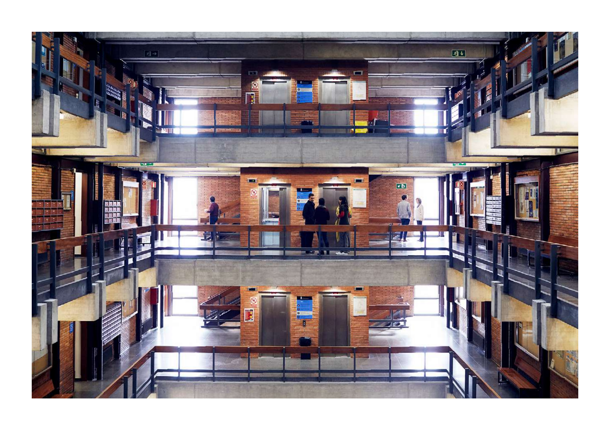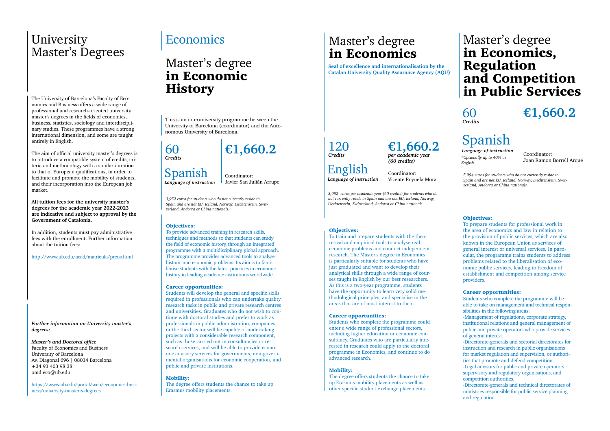# University Master's Degrees

The University of Barcelona's Faculty of Economics and Business offers a wide range of professional and research-oriented university master's degrees in the fields of economics, business, statistics, sociology and interdisciplinary studies. These programmes have a strong international dimension, and some are taught entirely in English.

The aim of official university master's degrees is to introduce a compatible system of credits, criteria and methodology with a similar duration to that of European qualifications, in order to facilitate and promote the mobility of students, and their incorporation into the European job market.

**All tuition fees for the university master's degrees for the academic year 2022-2023 are indicative and subject to approval by the Government of Catalonia.** 

In addition, students must pay administrative fees with the enrollment. Further information about the tuition fees:

<http://www.ub.edu/acad/matricula/preus.html>

*Further information on University master's degrees:*

*Master's and Doctoral office* Faculty of Economics and Business University of Barcelona Av. Diagonal 696 | 08034 Barcelona +34 93 403 98 38 omd.eco@ub.edu

[https://www.ub.edu/portal/web/economics-busi](https://www.ub.edu/portal/web/economics-business/university-master-s-degrees)[ness/university-master-s-degrees](https://www.ub.edu/portal/web/economics-business/university-master-s-degrees)

# Economics

Master's degree in Economic **History** 

This is an interuniversity programme between the University of Barcelona (coordinator) and the Autonomous University of Barcelona.

60 *Credits*



Coordinator: Javier San Julián Arrupe

**€1,660.2**

*3,952 euros for students who do not currently reside in Spain and are not EU, Iceland, Norway, Liechtenstein, Switzerland, Andorra or China nationals.*

## Objectives:

To provide advanced training in research skills, techniques and methods so that students can study the field of economic history, through an integrated programme with a multidisciplinary, global approach. The programme provides advanced tools to analyse historic and economic problems. Its aim is to familiarise students with the latest practices in economic history in leading academic institutions worldwide.

#### Career opportunities:

Students will develop the general and specific skills required in professionals who can undertake quality research tasks in public and private research centres and universities. Graduates who do not wish to continue with doctoral studies and prefer to work as professionals in public administration, companies, or the third sector will be capable of undertaking projects with a considerable research component, such as those carried out in consultancies or research services, and will be able to provide economic advisory services for governments, non-governmental organisations for economic cooperation, and public and private institutions.

#### Mobility:

The degree offers students the chance to take up Erasmus mobility placements.

# Master's degree in Economics

**Seal of excellence and internationalisation by the Catalan University Quality Assurance Agency (AQU)**

> **€1,660.2** *per academic year (60 credits)*

Vicente Royuela Mora

Coordinator:

# 120 *Credits* English

*Language of instruction*

*3,952 euros per academic year (60 credits) for students who do* 

*not currently reside in Spain and are not EU, Iceland, Norway, Liechtenstein, Switzerland, Andorra or China nationals.*

## Objectives:

To train and prepare students with the theoretical and empirical tools to analyse real economic problems and conduct independent research. The Master's degree in Economics is particularly suitable for students who have just graduated and want to develop their analytical skills through a wide range of courses taught in English by our best researchers. As this is a two-year programme, students have the opportunity to learn very solid methodological principles, and specialise in the areas that are of most interest to them.

## Career opportunities:

Students who complete the programme could enter a wide range of professional sectors, including higher education or economic consultancy. Graduates who are particularly interested in research could apply to the doctoral programme in Economics, and continue to do advanced research.

## Mobility:

The degree offers students the chance to take up Erasmus mobility placements as well as other specific student exchange placements.

# Master's degree<br>in Economics, Regulation and Competition in Public Services

# 60 *Credits*

Spanish *Language of instruction* Coordinator: *English*

**Joan Ramon Borrell Arqué** 

**€1,660.2**

*5,994 euros for students who do not currently reside in Spain and are not EU, Iceland, Norway, Liechtenstein, Switzerland, Andorra or China nationals.*

## Objectives:

To prepare students for professional work in the area of economics and law in relation to the provision of public services, which are also known in the European Union as services of general interest or universal services. In particular, the programme trains students to address problems related to the liberalisation of economic public services, leading to freedom of establishment and competition among service providers.

#### Career opportunities:

Students who complete the programme will be able to take on management and technical responsibilities in the following areas:

-Management of regulations, corporate strategy, institutional relations and general management of public and private operators who provide services of general interest.

-Directorate-generals and sectorial directorates for instruction and research in public organisations for market regulation and supervision, or authorities that promote and defend competition. -Legal advisors for public and private operators, supervisory and regulatory organisations, and competition authorities.

-Directorate-generals and technical directorates of ministries responsible for public service planning and regulation.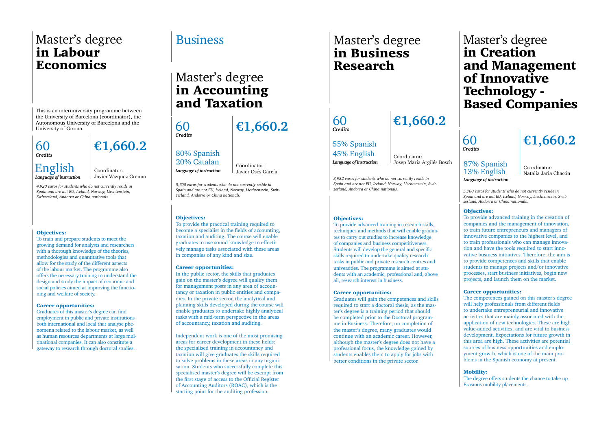# Master's degree in Labour Economics

This is an interuniversity programme between the University of Barcelona (coordinator), the Autonomous University of Barcelona and the University of Girona.

60 *Credits*

# **€1,660.2**

English *Language of instruction*

Coordinator: Javier Vázquez Grenno

*4,920 euros for students who do not currently reside in Spain and are not EU, Iceland, Norway, Liechtenstein, Switzerland, Andorra or China nationals.*

# Objectives:

To train and prepare students to meet the growing demand for analysts and researchers with a thorough knowledge of the theories, methodologies and quantitative tools that allow for the study of the different aspects of the labour market. The programme also offers the necessary training to understand the design and study the impact of economic and social policies aimed at improving the functioning and welfare of society.

# Career opportunities:

Graduates of this master's degree can find employment in public and private institutions both international and local that analyse phenomena related to the labour market, as well as human resources departments at large multinational companies. It can also constitute a gateway to research through doctoral studies.

# Business

# Master's degree in Accounting and Taxation

# **€1,660.2**

# 80% Spanish 20% Catalan *Language of instruction*

Javier Osés García

Coordinator:

*5,700 euros for students who do not currently reside in Spain and are not EU, Iceland, Norway, Liechtenstein, Switzerland, Andorra or China nationals.*

# Objectives:

60 *Credits*

To provide the practical training required to become a specialist in the fields of accounting, taxation and auditing. The course will enable graduates to use sound knowledge to effectively manage tasks associated with these areas in companies of any kind and size.

# Career opportunities:

In the public sector, the skills that graduates gain on the master's degree will qualify them for management posts in any area of accountancy or taxation in public entities and companies. In the private sector, the analytical and planning skills developed during the course will enable graduates to undertake highly analytical tasks with a mid-term perspective in the areas of accountancy, taxation and auditing.

Independent work is one of the most promising areas for career development in these fields: the specialised training in accountancy and taxation will give graduates the skills required to solve problems in these areas in any organisation. Students who successfully complete this specialised master's degree will be exempt from the first stage of access to the Official Register of Accounting Auditors (ROAC), which is the starting point for the auditing profession.

# Master's degree in Business Research

# 60 *Credits*

# 55% Spanish

45% English

*3,952 euros for students who do not currently reside in Spain and are not EU, Iceland, Norway, Liechtenstein, Switzerland, Andorra or China nationals.*

**€1,660.2**

Josep Maria Argilés Bosch

Coordinator:

# Objectives:

To provide advanced training in research skills, techniques and methods that will enable graduates to carry out studies to increase knowledge of companies and business competitiveness. Students will develop the general and specific skills required to undertake quality research tasks in public and private research centres and universities. The programme is aimed at students with an academic, professional and, above all, research interest in business.

# Career opportunities:

Graduates will gain the competences and skills required to start a doctoral thesis, as the master's degree is a training period that should be completed prior to the Doctoral programme in Business. Therefore, on completion of the master's degree, many graduates would continue with an academic career. However, although the master's degree does not have a professional focus, the knowledge gained by students enables them to apply for jobs with better conditions in the private sector.

# Master's degree in Creation and Management of Innovative Technology - Based Companies

# 60 *Credits*

*Language of instruction* 87% Spanish 13% English *Language of instruction*

Coordinator: Natalia Jaria Chacón

**€1,660.2**

*5,700 euros for students who do not currently reside in Spain and are not EU, Iceland, Norway, Liechtenstein, Switzerland, Andorra or China nationals.*

# Objectives:

To provide advanced training in the creation of companies and the management of innovation, to train future entrepreneurs and managers of innovative companies to the highest level, and to train professionals who can manage innovation and have the tools required to start innovative business initiatives. Therefore, the aim is to provide competences and skills that enable students to manage projects and/or innovative processes, start business initiatives, begin new projects, and launch them on the market.

# Career opportunities:

The competences gained on this master's degree will help professionals from different fields to undertake entrepreneurial and innovative activities that are mainly associated with the application of new technologies. These are high value-added activities, and are vital to business development. Expectations for future growth in this area are high. These activities are potential sources of business opportunities and employment growth, which is one of the main problems in the Spanish economy at present.

# Mobility:

The degree offers students the chance to take up Erasmus mobility placements.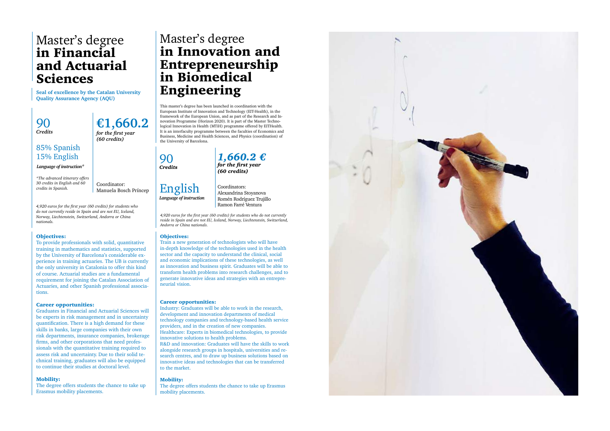# Master's degree<br> **in Financial** and Actuarial Sciences

**Seal of excellence by the Catalan University Quality Assurance Agency (AQU)**

# 90 *Credits*

# **€1,660.2** *for the first year*

*(60 credits)*

Coordinator:

Manuela Bosch Príncep

# 85% Spanish 15% English

*Language of instruction\**

*\*The advanced itinerary offers 30 credits in English and 60 credits in Spanish.*

*4,920 euros for the first year (60 credits) for students who do not currently reside in Spain and are not EU, Iceland, Norway, Liechtenstein, Switzerland, Andorra or China nationals.*

# Objectives:

To provide professionals with solid, quantitative training in mathematics and statistics, supported by the University of Barcelona's considerable experience in training actuaries. The UB is currently the only university in Catalonia to offer this kind of course. Actuarial studies are a fundamental requirement for joining the Catalan Association of Actuaries, and other Spanish professional associations.

# Career opportunities:

Graduates in Financial and Actuarial Sciences will be experts in risk management and in uncertainty quantification. There is a high demand for these skills in banks, large companies with their own risk departments, insurance companies, brokerage firms, and other corporations that need professionals with the quantitative training required to assess risk and uncertainty. Due to their solid technical training, graduates will also be equipped to continue their studies at doctoral level.

## Mobility:

The degree offers students the chance to take up Erasmus mobility placements.

# Master's degree in Innovation and Entrepreneurship in Biomedical Engineering

This master's degree has been launched in coordination with the European Institute of Innovation and Technology (EIT-Health), in the framework of the European Union, and as part of the Research and Innovation Programme (Horizon 2020). It is part of the Master Technological Innovation in Health (MTiH) programme offered by EITHealth. It is an interfaculty programme between the faculties of Economics and Business, Medicine and Health Sciences, and Physics (coordination) of the University of Barcelona.





Coordinators: Alexandrina Stoyanova Romén Rodríguez Trujillo Ramon Farré Ventura

*4,920 euros for the first year (60 credits) for students who do not currently reside in Spain and are not EU, Iceland, Norway, Liechtenstein, Switzerland, Andorra or China nationals.*

# Objectives:

90 *Credits*

Train a new generation of technologists who will have in-depth knowledge of the technologies used in the health sector and the capacity to understand the clinical, social and economic implications of these technologies, as well as innovation and business spirit. Graduates will be able to transform health problems into research challenges, and to generate innovative ideas and strategies with an entrepreneurial vision.

# Career opportunities:

Industry: Graduates will be able to work in the research, development and innovation departments of medical technology companies and technology-based health service providers, and in the creation of new companies. Healthcare: Experts in biomedical technologies, to provide innovative solutions to health problems. R&D and innovation: Graduates will have the skills to work alongside research groups in hospitals, universities and research centres, and to draw up business solutions based on innovative ideas and technologies that can be transferred

# Mobility:

to the market.

The degree offers students the chance to take up Erasmus mobility placements.

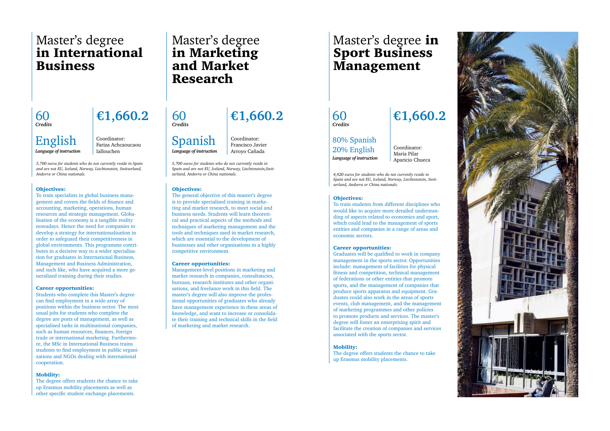# Master's degree in International Business

# 60 *Credits*

# **€1,660.2**

Coordinator: Fariza Achcaoucaou Iallouchen

*5,700 euros for students who do not currently reside in Spain and are not EU, Iceland, Norway, Liechtenstein, Switzerland, Andorra or China nationals.*

## Objectives:

*Language of instruction* English

To train specialists in global business management and covers the fields of finance and accounting, marketing, operations, human resources and strategic management. Globalisation of the economy is a tangible reality nowadays. Hence the need for companies to develop a strategy for internationalisation in order to safeguard their competitiveness in global environments. This programme contributes in a decisive way to a wider specialisation for graduates in International Business, Management and Business Administration, and such like, who have acquired a more generalized training during their studies.

#### Career opportunities:

Students who complete this Master's degree can find employment in a wide array of positions within the business sector. The most usual jobs for students who complete the degree are posts of management, as well as specialised tasks in multinational companies, such as human resources, finances, foreign trade or international marketing. Furthermore, the MSc in International Business trains students to find employment in public organizations and NGOs dealing with international cooperation.

#### Mobility:

The degree offers students the chance to take up Erasmus mobility placements as well as other specific student exchange placements.

# Master's degree in Marketing and Market Research

# **€1,660.2**

Spanish *Language of instruction* Coordinator: Francisco Javier Arroyo Cañada

*5,700 euros for students who do not currently reside in Spain and are not EU, Iceland, Norway, Liechtenstein,Switzerland, Andorra or China nationals.*

## Objectives:

60 *Credits*

The general objective of this master's degree is to provide specialised training in marketing and market research, to meet social and business needs. Students will learn theoretical and practical aspects of the methods and techniques of marketing management and the tools and techniques used in market research, which are essential to the development of businesses and other organisations in a highly competitive environment.

#### Career opportunities:

Management-level positions in marketing and market research in companies, consultancies, bureaus, research institutes and other organisations, and freelance work in this field. The master's degree will also improve the professional opportunities of graduates who already have management experience in these areas of knowledge, and want to increase or consolidate their training and technical skills in the field of marketing and market research.

# Master's degree **in** Sport Business Management

# 60 *Credits*

# 80% Spanish 20% English

*Language of instruction*

*4,920 euros for students who do not currently reside in Spain and are not EU, Iceland, Norway, Liechtenstein, Switzerland, Andorra or China nationals.*

## Objectives:

To train students from different disciplines who would like to acquire more detailed understanding of aspects related to economics and sport, which could lead to the management of sports entities and companies in a range of areas and economic sectors.

## Career opportunities:

Graduates will be qualified to work in company management in the sports sector. Opportunities include: management of facilities for physical fitness and competition, technical management of federations or other entities that promote sports, and the management of companies that produce sports apparatus and equipment. Graduates could also work in the areas of sports events, club management, and the management of marketing programmes and other policies to promote products and services. The master's degree will foster an enterprising spirit and facilitate the creation of companies and services associated with the sports sector.

## Mobility:

The degree offers students the chance to take up Erasmus mobility placements.



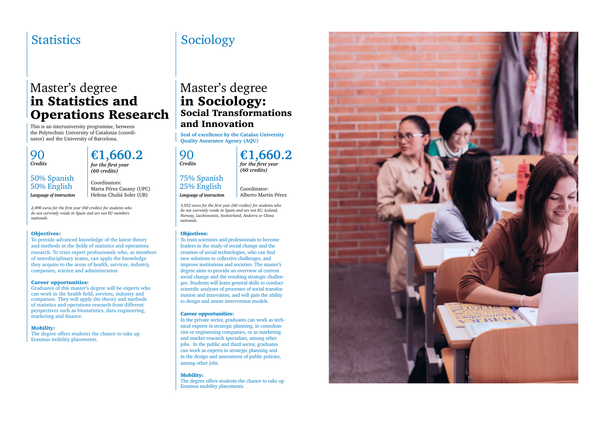# **Statistics**

# Master's degree in Statistics and Operations Research

This is an interuniversity programme, between the Polytechnic University of Catalonia (coordinator) and the University of Barcelona.

# 90 *Credits*

# 50% Spanish *for the first year (60 credits)*

50% English *Language of instruction*

Coordinators: Marta Pérez Casany (UPC) Helena Chuliá Soler (UB)

**€1,660.2**

*2,490 euros for the first year (60 credits) for students who do not currently reside in Spain and are not EU members nationals.*

# Objectives:

To provide advanced knowledge of the latest theory and methods in the fields of statistics and operations research. To train expert professionals who, as members of interdisciplinary teams, can apply the knowledge they acquire to the areas of health, services, industry, companies, science and administration

## Career opportunities:

Graduates of this master's degree will be experts who can work in the health field, services, industry and companies. They will apply the theory and methods of statistics and operations research from different perspectives such as biostatistics, data engineering, marketing and finance.

## Mobility:

The degree offers students the chance to take up Erasmus mobility placements.

# Sociology

# Master's degree in Sociology: Social Transformations and Innovation

**Seal of excellence by the Catalan University Quality Assurance Agency (AQU)**



Coordinator: Alberto Martín Pérez *Language of instruction*

*3,952 euros for the first year (60 credits) for students who do not currently reside in Spain and are not EU, Iceland, Norway, Liechtenstein, Switzerland, Andorra or China nationals.*

# Objectives:

25% English

90 *Credits*

To train scientists and professionals to become leaders in the study of social change and the creation of social technologies, who can find new solutions to collective challenges, and improve institutions and societies. The master's degree aims to provide an overview of current social change and the resulting strategic challenges. Students will learn general skills to conduct scientific analyses of processes of social transformation and innovation, and will gain the ability to design and assess intervention models.

# Career opportunities:

In the private sector, graduates can work as technical experts in strategic planning, in consultancies or engineering companies, or as marketing and market research specialists, among other jobs. In the public and third sector, graduates can work as experts in strategic planning and in the design and assessment of public policies, among other jobs.

# Mobility:

The degree offers students the chance to take up Erasmus mobility placements.

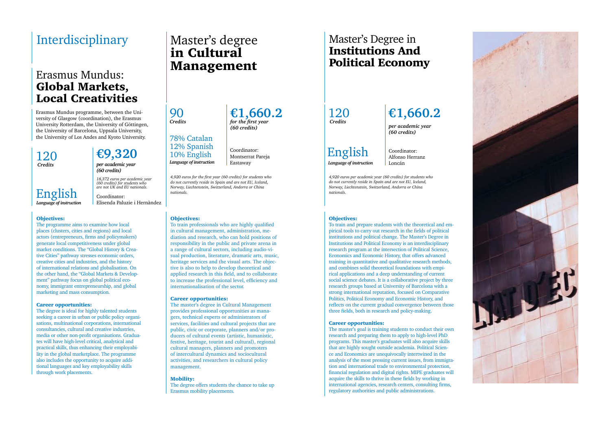# Interdisciplinary Master's degree

# Erasmus Mundus: Global Markets, Local Creativities

Erasmus Mundus programme, between the University of Glasgow (coordination), the Erasmus University Rotterdam, the University of Göttingen, the University of Barcelona, Uppsala University, the University of Los Andes and Kyoto University.

# 120  *Credits*

# **€9,320**

*per academic year (60 credits)*

Coordinator:

Elisenda Paluzie i Hernàndez

*18,372 euros per academic year (60 credits) for students who are not UK and EU nationals.*

English *Language of instruction*

# Objectives:

The programme aims to examine how local places (clusters, cities and regions) and local actors (entrepreneurs, firms and policymakers) generate local competitiveness under global market conditions. The "Global History & Creative Cities" pathway stresses economic orders, creative cities and industries, and the history of international relations and globalisation. On the other hand, the "Global Markets & Development" pathway focus on global political economy, immigrant entrepreneurship, and global marketing and mass consumption.

## Career opportunities:

The degree is ideal for highly talented students seeking a career in urban or public policy organisations, multinational corporations, international consultancies, cultural and creative industries, media or other non-profit organisations. Graduates will have high-level critical, analytical and practical skills, thus enhancing their employability in the global marketplace. The programme also includes the opportunity to acquire additional languages and key employability skills through work placements.

# in Cultural Management

**€1,660.2** *for the first year (60 credits)*

# 78% Catalan 12% Spanish

10% English *Language of instruction*

90 *Credits*

> Coordinator: Montserrat Pareja Eastaway

*4,920 euros for the first year (60 credits) for students who do not currently reside in Spain and are not EU, Iceland, Norway, Liechtenstein, Switzerland, Andorra or China nationals.*

# Objectives:

To train professionals who are highly qualified in cultural management, administration, mediation and research, who can hold positions of responsibility in the public and private arena in a range of cultural sectors, including audio-visual production, literature, dramatic arts, music, heritage services and the visual arts. The objective is also to help to develop theoretical and applied research in this field, and to collaborate to increase the professional level, efficiency and internationalisation of the sector.

# Career opportunities:

The master's degree in Cultural Management provides professional opportunities as managers, technical experts or administrators of services, facilities and cultural projects that are public, civic or corporate, planners and/or producers of cultural events (artistic, humanistic, festive, heritage, tourist and cultural), regional cultural managers, planners and promoters of intercultural dynamics and sociocultural activities, and researchers in cultural policy management.

## Mobility:

The degree offers students the chance to take up Erasmus mobility placements.

# Master's Degree in Institutions And Political Economy

# 120 *Credits*

# **€1,660.2**

*per academic year (60 credits)*

Coordinator: Alfonso Herranz

Loncán

# *Language of instruction* English

*4,920 euros per academic year (60 credits) for students who do not currently reside in Spain and are not EU, Iceland, Norway, Liechtenstein, Switzerland, Andorra or China* 

# Objectives:

*nationals.*

To train and prepare students with the theoretical and empirical tools to carry out research in the fields of political institutions and political change. The Master's Degree in Institutions and Political Economy is an interdisciplinary research program at the intersection of Political Science, Economics and Economic History, that offers advanced training in quantitative and qualitative research methods, and combines solid theoretical foundations with empirical applications and a deep understanding of current social science debates. It is a collaborative project by three research groups based at University of Barcelona with a strong international reputation, focused on Comparative Politics, Political Economy and Economic History, and reflects on the current gradual convergence between those three fields, both in research and policy-making.

# Career opportunities:

The master's goal is training students to conduct their own research and preparing them to apply to high-level PhD programs. This master's graduates will also acquire skills that are highly sought outside academia. Political Science and Economics are unequivocally intertwined in the analysis of the most pressing current issues, from immigration and international trade to environmental protection, financial regulation and digital rights. MIPE graduates will acquire the skills to thrive in these fields by working in international agencies, research centers, consulting firms, regulatory authorities and public administrations.

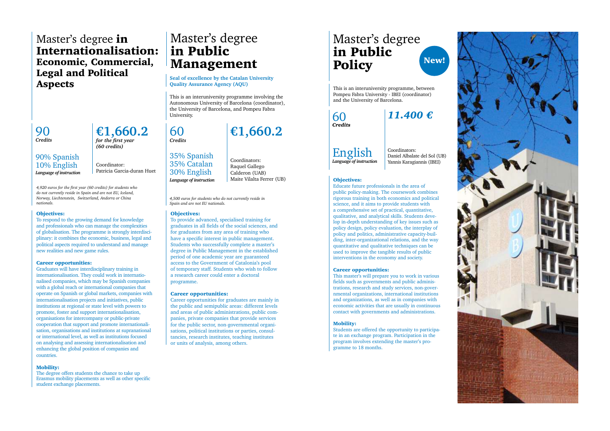# Master's degree in Internationalisation: Economic, Commercial, Legal and Political Aspects

90 *Credits*

# **€1,660.2** *for the first year (60 credits)*

90% Spanish 10% English *Language of instruction*

Coordinator: Patricia Garcia-duran Huet

*4,920 euros for the first year (60 credits) for students who do not currently reside in Spain and are not EU, Iceland, Norway, Liechtenstein, Switzerland, Andorra or China nationals.*

## Objectives:

To respond to the growing demand for knowledge and professionals who can manage the complexities of globalisation. The programme is strongly interdisciplinary: it combines the economic, business, legal and political aspects required to understand and manage new realities and new game rules.

## Career opportunities:

Graduates will have interdisciplinary training in internationalisation. They could work in internationalised companies, which may be Spanish companies with a global reach or international companies that operate on Spanish or global markets, companies with internationalisation projects and initiatives, public institutions at regional or state level with powers to promote, foster and support internationalisation, organisations for intercompany or public-private cooperation that support and promote internationalisation, organisations and institutions at supranational or international level, as well as institutions focused on analysing and assessing internationalisation and enhancing the global position of companies and countries.

## Mobility:

The degree offers students the chance to take up Erasmus mobility placements as well as other specific student exchange placements.

# Master's degree in Public Management

**Seal of excellence by the Catalan University Quality Assurance Agency (AQU)**

This is an interuniversity programme involving the Autonomous University of Barcelona (coordinator), the University of Barcelona, and Pompeu Fabra University.

**€1,660.2**

#### 35% Spanish 35% Catalan 30% English *Language of instruction* Coordinators: Raquel Gallego Calderon (UAB) Maite Vilalta Ferrer (UB)

*4,500 euros for students who do not currently reside in Spain and are not EU nationals.*

# Objectives:

60 *Credits*

To provide advanced, specialised training for graduates in all fields of the social sciences, and for graduates from any area of training who have a specific interest in public management. Students who successfully complete a master's degree in Public Management in the established period of one academic year are guaranteed access to the Government of Catalonia's pool of temporary staff. Students who wish to follow a research career could enter a doctoral programme.

# Career opportunities:

Career opportunities for graduates are mainly in the public and semipublic areas: different levels and areas of public administrations, public companies, private companies that provide services for the public sector, non-governmental organisations, political institutions or parties, consultancies, research institutes, teaching institutes or units of analysis, among others.

# Master's degree in Public Policy New!

This is an interuniversity programme, between Pompeu Fabra University - IBEI (coordinator) and the University of Barcelona.

# 60 *Credits*

English *Language of instruction*

Coordinators: Daniel Albalate del Sol (UB) Yannis Karagiannis (IBEI)

*11.400 €*

# Objectives:

Educate future professionals in the area of public policy-making. The coursework combines rigorous training in both economics and political science, and it aims to provide students with a comprehensive set of practical, quantitative, qualitative, and analytical skills. Students develop in-depth understanding of key issues such as policy design, policy evaluation, the interplay of policy and politics, administrative capacity-building, inter-organizational relations, and the way quantitative and qualitative techniques can be used to improve the tangible results of public interventions in the economy and society.

# Career opportunities:

This master's will prepare you to work in various fields such as governments and public administrations, research and study services, non-governmental organizations, international institutions and organizations, as well as in companies with economic activities that are usually in continuous contact with governments and administrations.

# Mobility:

Students are offered the opportunity to participate in an exchange program. Participation in the program involves extending the master's programme to 18 months.

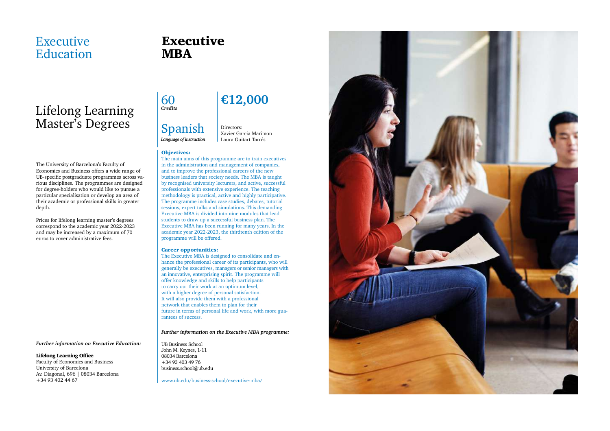# Executive Education

# Executive MBA

# Lifelong Learning Master's Degrees

The University of Barcelona's Faculty of Economics and Business offers a wide range of UB-specific postgraduate programmes across various disciplines. The programmes are designed for degree-holders who would like to pursue a particular specialisation or develop an area of their academic or professional skills in greater depth.

Prices for lifelong learning master's degrees correspond to the academic year 2022-2023 and may be increased by a maximum of 70 euros to cover administrative fees.

#### *Further information on Executive Education:*

#### Lifelong Learning Office

Faculty of Economics and Business University of Barcelona Av. Diagonal, 696 | 08034 Barcelona +34 93 402 44 67

# **€12,000**

# Language of instruction Spanish

Directors: Xavier Garcia Marimon

## Objectives:

60 *Credits*

The main aims of this programme are to train executives in the administration and management of companies, and to improve the professional careers of the new business leaders that society needs. The MBA is taught by recognised university lecturers, and active, successful professionals with extensive experience. The teaching methodology is practical, active and highly participative. The programme includes case studies, debates, tutorial sessions, expert talks and simulations. This demanding Executive MBA is divided into nine modules that lead students to draw up a successful business plan. The Executive MBA has been running for many years. In the academic year 2022-2023, the thirdtenth edition of the programme will be offered.

#### Career opportunities:

The Executive MBA is designed to consolidate and enhance the professional career of its participants, who will generally be executives, managers or senior managers with an innovative, enterprising spirit. The programme will offer knowledge and skills to help participants to carry out their work at an optimum level, with a higher degree of personal satisfaction. It will also provide them with a professional network that enables them to plan for their future in terms of personal life and work, with more guarantees of success.

#### *Further information on the Executive MBA programme:*

UB Business School John M. Keynes, 1-11 08034 Barcelona +34 93 403 49 76 business.school@ub.edu

[www.ub.edu/business-school/executive-mba/](http://www.ub.edu/business-school/executive-mba/)

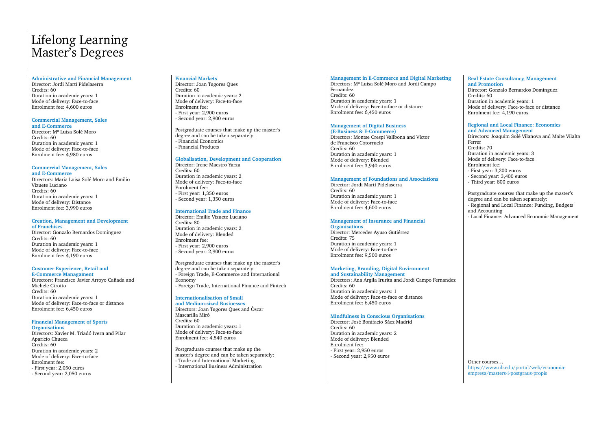# Lifelong Learning Master's Degrees

#### **Administrative and Financial Management**

Director: Jordi Martí Pidelaserra Credits: 60 Duration in academic years: 1 Mode of delivery: Face-to-face Enrolment fee: 4,600 euros

#### **Commercial Management, Sales and E-Commerce**

Director: Mª Luisa Solé Moro Credits: 60 Duration in academic years: 1 Mode of delivery: Face-to-face Enrolment fee: 4,980 euros

#### **Commercial Management, Sales and E-Commerce**

Directors: Maria Luisa Solé Moro and Emilio Vizuete Luciano Credits: 60 Duration in academic years: 1 Mode of delivery: Distance Enrolment fee: 3,990 euros

#### **Creation, Management and Development of Franchises**

Director: Gonzalo Bernardos Dominguez Credits: 60 Duration in academic years: 1 Mode of delivery: Face-to-face Enrolment fee: 4,190 euros

# **Customer Experience, Retail and**

**E-Commerce Managament** Directors: Francisco Javier Arroyo Cañada and Michele Girotto Credits: 60 Duration in academic years: 1 Mode of delivery: Face-to-face or distance Enrolment fee: 6,450 euros

## **Financial Management of Sports**

**Organisations** Directors: Xavier M. Triadó Ivern and Pilar Aparicio Chueca Credits: 60 Duration in academic years: 2 Mode of delivery: Face-to-face Enrolment fee: - First year: 2,050 euros - Second year: 2,050 euros

## **Financial Markets**

Director: Joan Tugores Ques Credits: 60 Duration in academic years: 2 Mode of delivery: Face-to-face Enrolment fee: - First year: 2,900 euros - Second year: 2,900 euros

Postgraduate courses that make up the master's degree and can be taken separately: - Financial Economics - Financial Products

## **Globalisation, Development and Cooperation**

Director: Irene Maestro Yarza Credits: 60 Duration in academic years: 2 Mode of delivery: Face-to-face Enrolment fee: - First year: 1,350 euros - Second year: 1,350 euros

#### **International Trade and Finance**

Director: Emilio Vizuete Luciano Credits: 80 Duration in academic years: 2 Mode of delivery: Blended Enrolment fee: - First year: 2,900 euros - Second year: 2,900 euros

Postgraduate courses that make up the master's degree and can be taken separately: - Foreign Trade, E-Commerce and International Economy - Foreign Trade, International Finance and Fintech

## **Internationalisation of Small**

**and Medium-sized Businesses** Directors: Joan Tugores Ques and Òscar Mascarilla Miró Credits: 60 Duration in academic years: 1 Mode of delivery: Face-to-face Enrolment fee: 4,840 euros

Postgraduate courses that make up the master's degree and can be taken separately: - Trade and International Marketing

# - International Business Administration

# **Management in E-Commerce and Digital Marketing**

Directors: Mª Luisa Solé Moro and Jordi Campo Fernandez Credits: 60 Duration in academic years: 1 Mode of delivery: Face-to-face or distance Enrolment fee: 6,450 euros

## **Management of Digital Business**

**(E-Business & E-Commerce)** Directors: Montse Crespi Vallbona and Víctor de Francisco Cotorruelo Credits: 60 Duration in academic years: 1 Mode of delivery: Blended Enrolment fee: 3,940 euros

## **Management of Foundations and Associations**

Director: Jordi Martí Pidelaserra Credits: 60 Duration in academic years: 1 Mode of delivery: Face-to-face Enrolment fee: 4,600 euros

#### **Management of Insurance and Financial Organisations**

Director: Mercedes Ayuso Gutiérrez Credits: 75 Duration in academic years: 1 Mode of delivery: Face-to-face Enrolment fee: 9,500 euros

# **Marketing, Branding, Digital Environment**

**and Sustainability Management** Directors: Ana Argila Irurita and Jordi Campo Fernandez Credits: 60 Duration in academic years: 1 Mode of delivery: Face-to-face or distance Enrolment fee: 6,450 euros

# **Mindfulness in Conscious Organisations**

Director: José Bonifacio Sáez Madrid Credits: 60 Duration in academic years: 2 Mode of delivery: Blended Enrolment fee: - First year: 2,950 euros - Second year: 2,950 euros

#### **Real Estate Consultancy, Management and Promotion**

Director: Gonzalo Bernardos Dominguez Credits: 60 Duration in academic years: 1 Mode of delivery: Face-to-face or distance Enrolment fee: 4,190 euros

#### **Regional and Local Finance: Economics and Advanced Management**

Directors: Joaquim Solé Vilanova and Maite Vilalta Ferrer Credits: 70 Duration in academic years: 3 Mode of delivery: Face-to-face Enrolment fee: - First year: 3,200 euros - Second year: 3,400 euros - Third year: 800 euros

Postgraduate courses that make up the master's degree and can be taken separately: - Regional and Local Finance: Funding, Budgets and Accounting - Local Finance: Advanced Economic Management

Other courses… https://www.ub.edu/portal/web/economiaempresa/masters-i-postgraus-propis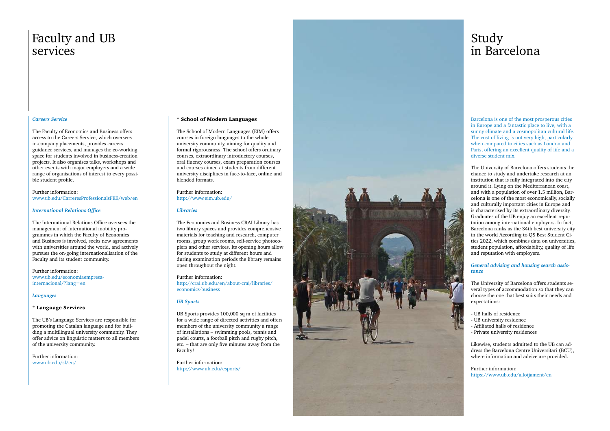# Faculty and UB services

#### *Careers Service*

The Faculty of Economics and Business offers access to the Careers Service, which oversees in-company placements, provides careers guidance services, and manages the co-working space for students involved in business-creation projects. It also organises talks, workshops and other events with major employers and a wide range of organisations of interest to every possible student profile.

Further information: www.ub.edu/CarreresProfessionalsFEE/web/en

## *International Relations Office*

The International Relations Office oversees the management of international mobility programmes in which the Faculty of Economics and Business is involved, seeks new agreements with universities around the world, and actively pursues the on-going internationalisation of the Faculty and its student community.

Further information: [www.ub.edu/economiaempresa](http://www.ub.edu/economiaempresa-internacional/?lang=en)[internacional/?lang=en](http://www.ub.edu/economiaempresa-internacional/?lang=en)

#### *Languages*

#### \* Language Services

The UB's Language Services are responsible for promoting the Catalan language and for buil ding a multilingual university community. They offer advice on linguistic matters to all members of the university community.

Further information: [www.ub.edu/sl/en/](http://www.ub.edu/sl/en/)

#### \* School of Modern Languages

The School of Modern Languages (EIM) offers courses in foreign languages to the whole university community, aiming for quality and formal rigorousness. The school offers ordinary courses, extraordinary introductory courses, oral fluency courses, exam preparation courses and courses aimed at students from different university disciplines in face-to-face, online and blended formats.

Further information: <http://www.eim.ub.edu/>

## *Libraries*

The Economics and Business CRAI Library has two library spaces and provides comprehensive materials for teaching and research, computer rooms, group work rooms, self-service photocopiers and other services. Its opening hours allow for students to study at different hours and during examination periods the library remains open throughout the night.

Further information: [http://crai.ub.edu/en/about-crai/libraries/](http://crai.ub.edu/en/about-crai/libraries/economics-business) [economics-business](http://crai.ub.edu/en/about-crai/libraries/economics-business)

## *UB Sports*

UB Sports provides 100,000 sq m of facilities for a wide range of directed activities and offers members of the university community a range of installations – swimming pools, tennis and padel courts, a football pitch and rugby pitch, etc. – that are only five minutes away from the Faculty!

Further information: <http://www.ub.edu/esports/>



# Study in Barcelona

Barcelona is one of the most prosperous cities in Europe and a fantastic place to live, with a sunny climate and a cosmopolitan cultural life. The cost of living is not very high, particularly when compared to cities such as London and Paris, offering an excellent quality of life and a diverse student mix.

The University of Barcelona offers students the chance to study and undertake research at an institution that is fully integrated into the city around it. Lying on the Mediterranean coast, and with a population of over 1.5 million, Barcelona is one of the most economically, socially and culturally important cities in Europe and is characterised by its extraordinary diversity. Graduates of the UB enjoy an excellent repu tation among international employers. In fact, Barcelona ranks as the 34th best university city in the world According to QS Best Student Ci ties 2022, which combines data on universities, student population, affordability, quality of life and reputation with employers.

# *General advising and housing search assistance*

The University of Barcelona offers students several types of accommodation so that they can choose the one that best suits their needs and expectations:

- UB halls of residence
- UB university residence
- Affiliated halls of residence
- Private university residences

Likewise, students admitted to the UB can address the Barcelona Centre Universitari (BCU), where information and advice are provided.

Further information: <https://www.ub.edu/allotjament/en>